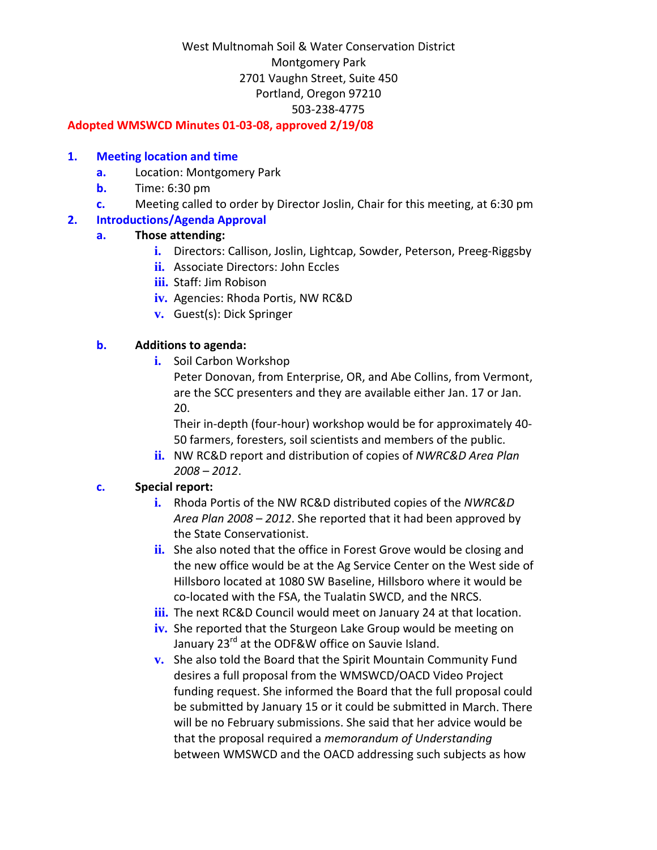#### **Adopted WMSWCD Minutes 01‐03‐08, approved 2/19/08**

#### **1. Meeting location and time**

- **a.** Location: Montgomery Park
- **b.** Time: 6:30 pm
- **c.** Meeting called to order by Director Joslin, Chair for this meeting, at 6:30 pm

### **2. Introductions/Agenda Approval**

### **a. Those attending:**

- **i.** Directors: Callison, Joslin, Lightcap, Sowder, Peterson, Preeg-Riggsby
- **ii.** Associate Directors: John Eccles
- **iii.** Staff: Jim Robison
- **iv.** Agencies: Rhoda Portis, NW RC&D
- **v.** Guest(s): Dick Springer

## **b. Additions to agenda:**

**i.** Soil Carbon Workshop

Peter Donovan, from Enterprise, OR, and Abe Collins, from Vermont, are the SCC presenters and they are available either Jan. 17 or Jan. 20.

Their in‐depth (four‐hour) workshop would be for approximately 40‐ 50 farmers, foresters, soil scientists and members of the public.

**ii.** NW RC&D report and distribution of copies of *NWRC&D Area Plan 2008 – 2012*.

# **c. Special report:**

- **i.** Rhoda Portis of the NW RC&D distributed copies of the *NWRC&D Area Plan 2008 – 2012*. She reported that it had been approved by the State Conservationist.
- **ii.** She also noted that the office in Forest Grove would be closing and the new office would be at the Ag Service Center on the West side of Hillsboro located at 1080 SW Baseline, Hillsboro where it would be co‐located with the FSA, the Tualatin SWCD, and the NRCS.
- **iii.** The next RC&D Council would meet on January 24 at that location.
- **iv.** She reported that the Sturgeon Lake Group would be meeting on January 23<sup>rd</sup> at the ODF&W office on Sauvie Island.
- **v.** She also told the Board that the Spirit Mountain Community Fund desires a full proposal from the WMSWCD/OACD Video Project funding request. She informed the Board that the full proposal could be submitted by January 15 or it could be submitted in March. There will be no February submissions. She said that her advice would be that the proposal required a *memorandum of Understanding* between WMSWCD and the OACD addressing such subjects as how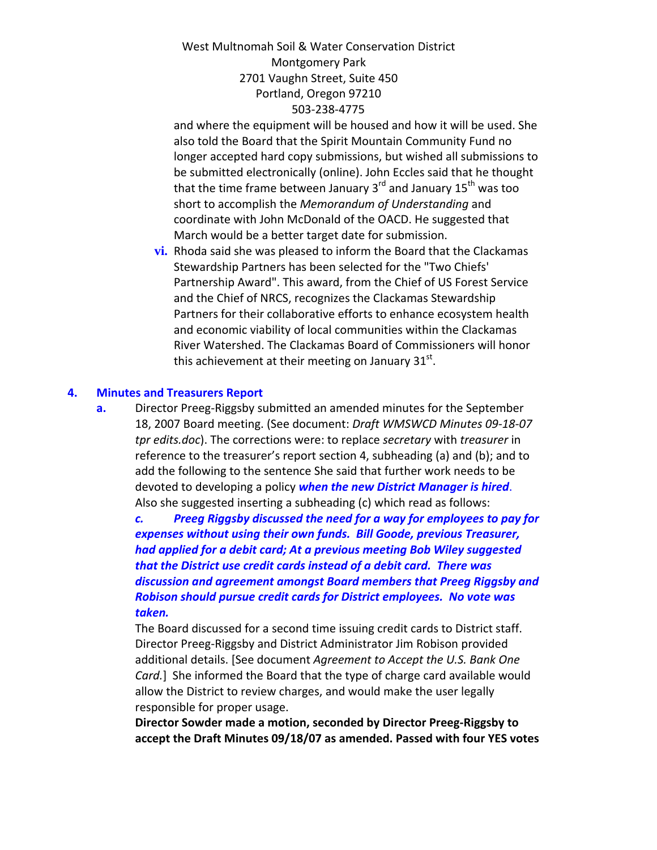and where the equipment will be housed and how it will be used. She also told the Board that the Spirit Mountain Community Fund no longer accepted hard copy submissions, but wished all submissions to be submitted electronically (online). John Eccles said that he thought that the time frame between January  $3<sup>rd</sup>$  and January  $15<sup>th</sup>$  was too short to accomplish the *Memorandum of Understanding* and coordinate with John McDonald of the OACD. He suggested that March would be a better target date for submission.

**vi.** Rhoda said she was pleased to inform the Board that the Clackamas Stewardship Partners has been selected for the "Two Chiefs' Partnership Award". This award, from the Chief of US Forest Service and the Chief of NRCS, recognizes the Clackamas Stewardship Partners for their collaborative efforts to enhance ecosystem health and economic viability of local communities within the Clackamas River Watershed. The Clackamas Board of Commissioners will honor this achievement at their meeting on January  $31<sup>st</sup>$ .

#### **4. Minutes and Treasurers Report**

**a.** Director Preeg‐Riggsby submitted an amended minutes for the September 18, 2007 Board meeting. (See document: *Draft WMSWCD Minutes 09‐18‐07 tpr edits.doc*). The corrections were: to replace *secretary* with *treasurer* in reference to the treasurer's report section 4, subheading (a) and (b); and to add the following to the sentence She said that further work needs to be devoted to developing a policy *when the new District Manager is hired*. Also she suggested inserting a subheading (c) which read as follows:

*c. Preeg Riggsby discussed the need for a way for employees to pay for expenses without using their own funds. Bill Goode, previous Treasurer, had applied for a debit card; At a previous meeting Bob Wiley suggested that the District use credit cards instead of a debit card. There was discussion and agreement amongst Board members that Preeg Riggsby and Robison should pursue credit cards for District employees. No vote was taken.*

The Board discussed for a second time issuing credit cards to District staff. Director Preeg‐Riggsby and District Administrator Jim Robison provided additional details. [See document *Agreement to Accept the U.S. Bank One Card.*] She informed the Board that the type of charge card available would allow the District to review charges, and would make the user legally responsible for proper usage.

**Director Sowder made a motion, seconded by Director Preeg‐Riggsby to accept the Draft Minutes 09/18/07 as amended. Passed with four YES votes**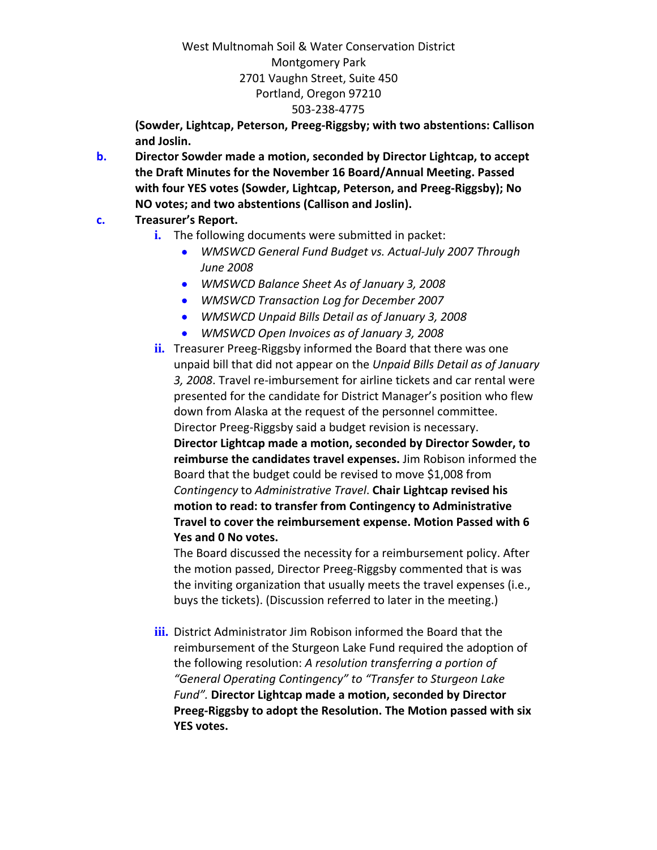**(Sowder, Lightcap, Peterson, Preeg‐Riggsby; with two abstentions: Callison and Joslin.**

**b. Director Sowder made a motion, seconded by Director Lightcap, to accept the Draft Minutes for the November 16 Board/Annual Meeting. Passed with four YES votes (Sowder, Lightcap, Peterson, and Preeg‐Riggsby); No NO votes; and two abstentions (Callison and Joslin).**

## **c. Treasurer's Report.**

- **i.** The following documents were submitted in packet:
	- *WMSWCD General Fund Budget vs. Actual‐July 2007 Through June 2008*
	- *WMSWCD Balance Sheet As of January 3, 2008*
	- *WMSWCD Transaction Log for December 2007*
	- *WMSWCD Unpaid Bills Detail as of January 3, 2008*
	- *WMSWCD Open Invoices as of January 3, 2008*
- **ii.** Treasurer Preeg-Riggsby informed the Board that there was one unpaid bill that did not appear on the *Unpaid Bills Detail as of January 3, 2008*. Travel re‐imbursement for airline tickets and car rental were presented for the candidate for District Manager's position who flew down from Alaska at the request of the personnel committee. Director Preeg‐Riggsby said a budget revision is necessary. **Director Lightcap made a motion, seconded by Director Sowder, to reimburse the candidates travel expenses.** Jim Robison informed the Board that the budget could be revised to move \$1,008 from *Contingency* to *Administrative Travel*. **Chair Lightcap revised his motion to read: to transfer from Contingency to Administrative Travel to cover the reimbursement expense. Motion Passed with 6 Yes and 0 No votes.**

The Board discussed the necessity for a reimbursement policy. After the motion passed, Director Preeg‐Riggsby commented that is was the inviting organization that usually meets the travel expenses (i.e., buys the tickets). (Discussion referred to later in the meeting.)

**iii.** District Administrator Jim Robison informed the Board that the reimbursement of the Sturgeon Lake Fund required the adoption of the following resolution: *A resolution transferring a portion of "General Operating Contingency" to "Transfer to Sturgeon Lake Fund".* **Director Lightcap made a motion, seconded by Director Preeg‐Riggsby to adopt the Resolution. The Motion passed with six YES votes.**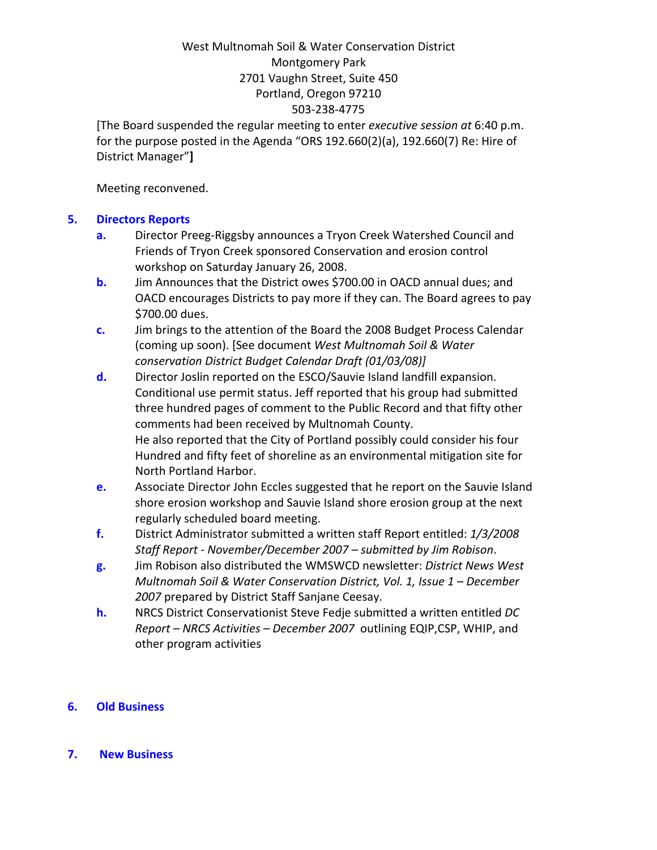[The Board suspended the regular meeting to enter *executive session at* 6:40 p.m. for the purpose posted in the Agenda "ORS 192.660(2)(a), 192.660(7) Re: Hire of District Manager"**]**

Meeting reconvened.

### **5. Directors Reports**

- **a.** Director Preeg‐Riggsby announces a Tryon Creek Watershed Council and Friends of Tryon Creek sponsored Conservation and erosion control workshop on Saturday January 26, 2008.
- **b.** Jim Announces that the District owes \$700.00 in OACD annual dues; and OACD encourages Districts to pay more if they can. The Board agrees to pay \$700.00 dues.
- **c.** Jim brings to the attention of the Board the 2008 Budget Process Calendar (coming up soon). [See document *West Multnomah Soil & Water conservation District Budget Calendar Draft (01/03/08)]*
- **d.** Director Joslin reported on the ESCO/Sauvie Island landfill expansion. Conditional use permit status. Jeff reported that his group had submitted three hundred pages of comment to the Public Record and that fifty other comments had been received by Multnomah County. He also reported that the City of Portland possibly could consider his four Hundred and fifty feet of shoreline as an environmental mitigation site for North Portland Harbor.
- **e.** Associate Director John Eccles suggested that he report on the Sauvie Island shore erosion workshop and Sauvie Island shore erosion group at the next regularly scheduled board meeting.
- **f.** District Administrator submitted a written staff Report entitled: *1/3/2008 Staff Report ‐ November/December 2007 – submitted by Jim Robison*.
- **g.** Jim Robison also distributed the WMSWCD newsletter: *District News West Multnomah Soil & Water Conservation District, Vol. 1, Issue 1 – December 2007* prepared by District Staff Sanjane Ceesay.
- **h.** NRCS District Conservationist Steve Fedje submitted a written entitled *DC Report – NRCS Activities – December 2007* outlining EQIP,CSP, WHIP, and other program activities

### **6. Old Business**

#### **7. New Business**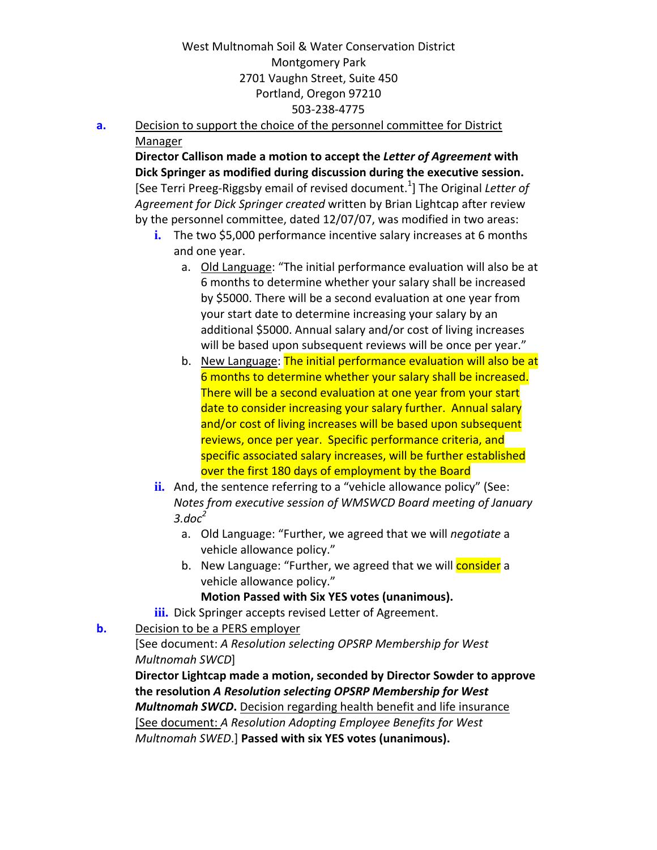**a.** Decision to support the choice of the personnel committee for District Manager

**Director Callison made a motion to accept the** *Letter of Agreement* **with Dick Springer as modified during discussion during the executive session.** [See Terri Preeg‐Riggsby email of revised document.<sup>1</sup> ] The Original *Letter of Agreement for Dick Springer created* written by Brian Lightcap after review by the personnel committee, dated 12/07/07, was modified in two areas:

- i. The two \$5,000 performance incentive salary increases at 6 months and one year.
	- a. Old Language: "The initial performance evaluation will also be at 6 months to determine whether your salary shall be increased by \$5000. There will be a second evaluation at one year from your start date to determine increasing your salary by an additional \$5000. Annual salary and/or cost of living increases will be based upon subsequent reviews will be once per year."
	- b. New Language: The initial performance evaluation will also be at 6 months to determine whether your salary shall be increased. There will be a second evaluation at one year from your start date to consider increasing your salary further. Annual salary and/or cost of living increases will be based upon subsequent reviews, once per year. Specific performance criteria, and specific associated salary increases, will be further established over the first 180 days of employment by the Board
- ii. And, the sentence referring to a "vehicle allowance policy" (See: *Notes from executive session of WMSWCD Board meeting of January 3.doc<sup>2</sup>*
	- a. Old Language: "Further, we agreed that we will *negotiate* a vehicle allowance policy."
	- b. New Language: "Further, we agreed that we will **consider** a vehicle allowance policy."

### **Motion Passed with Six YES votes (unanimous).**

**iii.** Dick Springer accepts revised Letter of Agreement.

# **b.** Decision to be a PERS employer

## [See document: *A Resolution selecting OPSRP Membership for West Multnomah SWCD*]

**Director Lightcap made a motion, seconded by Director Sowder to approve the resolution** *A Resolution selecting OPSRP Membership for West Multnomah SWCD***.** Decision regarding health benefit and life insurance [See document: *A Resolution Adopting Employee Benefits for West Multnomah SWED*.] **Passed with six YES votes (unanimous).**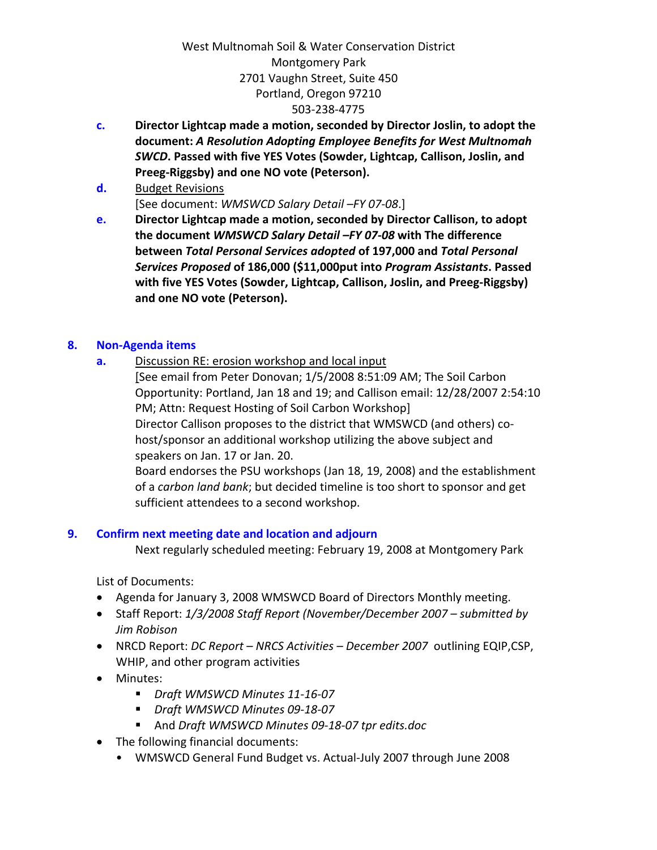- **c. Director Lightcap made a motion, seconded by Director Joslin, to adopt the document:** *A Resolution Adopting Employee Benefits for West Multnomah SWCD***. Passed with five YES Votes (Sowder, Lightcap, Callison, Joslin, and Preeg‐Riggsby) and one NO vote (Peterson).**
- **d.** Budget Revisions [See document: *WMSWCD Salary Detail –FY 07‐08*.]
- **e. Director Lightcap made a motion, seconded by Director Callison, to adopt the document** *WMSWCD Salary Detail –FY 07‐08* **with The difference between** *Total Personal Services adopted* **of 197,000 and** *Total Personal Services Proposed* **of 186,000 (\$11,000put into** *Program Assistants***. Passed with five YES Votes (Sowder, Lightcap, Callison, Joslin, and Preeg‐Riggsby) and one NO vote (Peterson).**

### **8. Non‐Agenda items**

**a.** Discussion RE: erosion workshop and local input

[See email from Peter Donovan; 1/5/2008 8:51:09 AM; The Soil Carbon Opportunity: Portland, Jan 18 and 19; and Callison email: 12/28/2007 2:54:10 PM; Attn: Request Hosting of Soil Carbon Workshop] Director Callison proposes to the district that WMSWCD (and others) co‐ host/sponsor an additional workshop utilizing the above subject and speakers on Jan. 17 or Jan. 20.

Board endorses the PSU workshops (Jan 18, 19, 2008) and the establishment of a *carbon land bank*; but decided timeline is too short to sponsor and get sufficient attendees to a second workshop.

# **9. Confirm next meeting date and location and adjourn**

Next regularly scheduled meeting: February 19, 2008 at Montgomery Park

List of Documents:

- Agenda for January 3, 2008 WMSWCD Board of Directors Monthly meeting.
- Staff Report: *1/3/2008 Staff Report (November/December 2007 – submitted by Jim Robison*
- NRCD Report: *DC Report – NRCS Activities – December 2007* outlining EQIP,CSP, WHIP, and other program activities
- Minutes:
	- *Draft WMSWCD Minutes 11‐16‐07*
	- *Draft WMSWCD Minutes 09‐18‐07*
	- And *Draft WMSWCD Minutes 09‐18‐07 tpr edits.doc*
- The following financial documents:
	- WMSWCD General Fund Budget vs. Actual‐July 2007 through June 2008